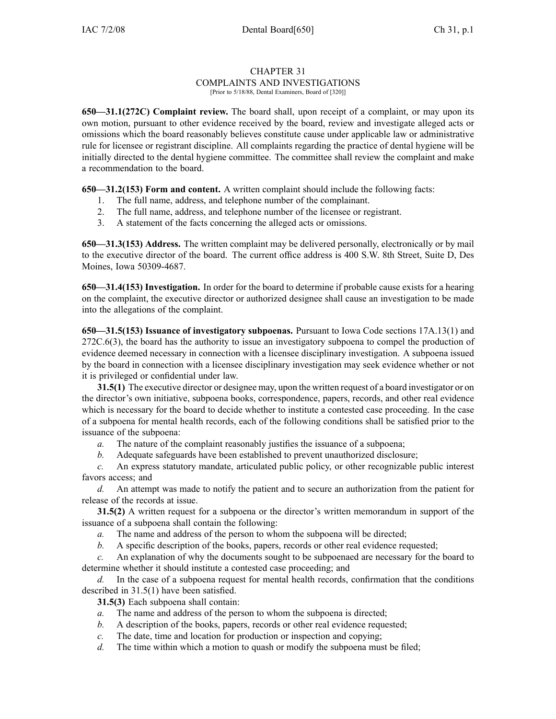## CHAPTER 31 COMPLAINTS AND INVESTIGATIONS [Prior to 5/18/88, Dental Examiners, Board of [320]]

**650—31.1(272C) Complaint review.** The board shall, upon receipt of <sup>a</sup> complaint, or may upon its own motion, pursuan<sup>t</sup> to other evidence received by the board, review and investigate alleged acts or omissions which the board reasonably believes constitute cause under applicable law or administrative rule for licensee or registrant discipline. All complaints regarding the practice of dental hygiene will be initially directed to the dental hygiene committee. The committee shall review the complaint and make <sup>a</sup> recommendation to the board.

**650—31.2(153) Form and content.** A written complaint should include the following facts:

- 1. The full name, address, and telephone number of the complainant.
- 2. The full name, address, and telephone number of the licensee or registrant.
- 3. A statement of the facts concerning the alleged acts or omissions.

**650—31.3(153) Address.** The written complaint may be delivered personally, electronically or by mail to the executive director of the board. The current office address is 400 S.W. 8th Street, Suite D, Des Moines, Iowa 50309-4687.

**650—31.4(153) Investigation.** In order for the board to determine if probable cause exists for <sup>a</sup> hearing on the complaint, the executive director or authorized designee shall cause an investigation to be made into the allegations of the complaint.

**650—31.5(153) Issuance of investigatory subpoenas.** Pursuant to Iowa Code sections 17A.13(1) and 272C.6(3), the board has the authority to issue an investigatory subpoena to compel the production of evidence deemed necessary in connection with <sup>a</sup> licensee disciplinary investigation. A subpoena issued by the board in connection with <sup>a</sup> licensee disciplinary investigation may seek evidence whether or not it is privileged or confidential under law.

**31.5(1)** The executive director or designee may, upon the written reques<sup>t</sup> of <sup>a</sup> board investigator or on the director's own initiative, subpoena books, correspondence, papers, records, and other real evidence which is necessary for the board to decide whether to institute <sup>a</sup> contested case proceeding. In the case of <sup>a</sup> subpoena for mental health records, each of the following conditions shall be satisfied prior to the issuance of the subpoena:

- *a.* The nature of the complaint reasonably justifies the issuance of <sup>a</sup> subpoena;
- *b.* Adequate safeguards have been established to preven<sup>t</sup> unauthorized disclosure;

*c.* An express statutory mandate, articulated public policy, or other recognizable public interest favors access; and

*d.* An attempt was made to notify the patient and to secure an authorization from the patient for release of the records at issue.

**31.5(2)** A written reques<sup>t</sup> for <sup>a</sup> subpoena or the director's written memorandum in suppor<sup>t</sup> of the issuance of <sup>a</sup> subpoena shall contain the following:

- *a.* The name and address of the person to whom the subpoena will be directed;
- *b.* A specific description of the books, papers, records or other real evidence requested;

*c.* An explanation of why the documents sought to be subpoenaed are necessary for the board to determine whether it should institute <sup>a</sup> contested case proceeding; and

*d.* In the case of <sup>a</sup> subpoena reques<sup>t</sup> for mental health records, confirmation that the conditions described in 31.5(1) have been satisfied.

**31.5(3)** Each subpoena shall contain:

- *a.* The name and address of the person to whom the subpoena is directed;
- *b.* A description of the books, papers, records or other real evidence requested;
- *c.* The date, time and location for production or inspection and copying;
- *d.* The time within which a motion to quash or modify the subpoena must be filed;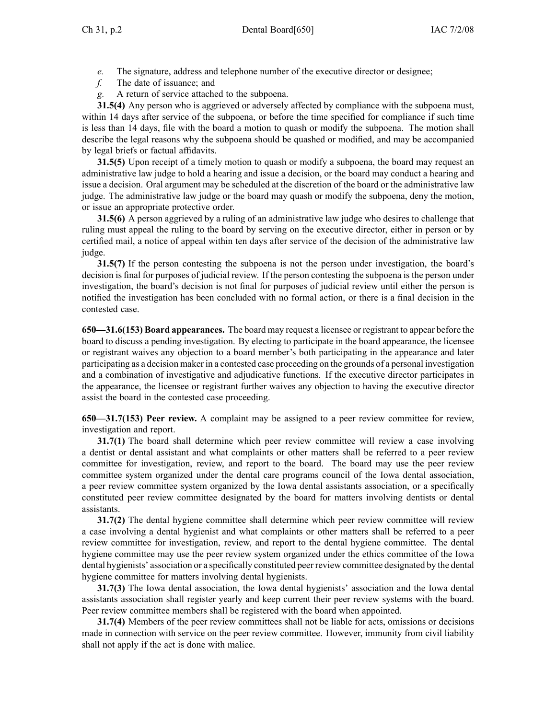*e.* The signature, address and telephone number of the executive director or designee;

*f.* The date of issuance; and

*g.* A return of service attached to the subpoena.

**31.5(4)** Any person who is aggrieved or adversely affected by compliance with the subpoena must, within 14 days after service of the subpoena, or before the time specified for compliance if such time is less than 14 days, file with the board <sup>a</sup> motion to quash or modify the subpoena. The motion shall describe the legal reasons why the subpoena should be quashed or modified, and may be accompanied by legal briefs or factual affidavits.

**31.5(5)** Upon receipt of <sup>a</sup> timely motion to quash or modify <sup>a</sup> subpoena, the board may reques<sup>t</sup> an administrative law judge to hold <sup>a</sup> hearing and issue <sup>a</sup> decision, or the board may conduct <sup>a</sup> hearing and issue <sup>a</sup> decision. Oral argumen<sup>t</sup> may be scheduled at the discretion of the board or the administrative law judge. The administrative law judge or the board may quash or modify the subpoena, deny the motion, or issue an appropriate protective order.

**31.5(6)** A person aggrieved by <sup>a</sup> ruling of an administrative law judge who desires to challenge that ruling must appeal the ruling to the board by serving on the executive director, either in person or by certified mail, <sup>a</sup> notice of appeal within ten days after service of the decision of the administrative law judge.

**31.5(7)** If the person contesting the subpoena is not the person under investigation, the board's decision is final for purposes of judicial review. If the person contesting the subpoena is the person under investigation, the board's decision is not final for purposes of judicial review until either the person is notified the investigation has been concluded with no formal action, or there is <sup>a</sup> final decision in the contested case.

**650—31.6(153) Board appearances.** The board may reques<sup>t</sup> <sup>a</sup> licensee or registrant to appear before the board to discuss <sup>a</sup> pending investigation. By electing to participate in the board appearance, the licensee or registrant waives any objection to <sup>a</sup> board member's both participating in the appearance and later participating as <sup>a</sup> decision maker in <sup>a</sup> contested case proceeding on the grounds of <sup>a</sup> personal investigation and <sup>a</sup> combination of investigative and adjudicative functions. If the executive director participates in the appearance, the licensee or registrant further waives any objection to having the executive director assist the board in the contested case proceeding.

**650—31.7(153) Peer review.** A complaint may be assigned to <sup>a</sup> peer review committee for review, investigation and report.

**31.7(1)** The board shall determine which peer review committee will review <sup>a</sup> case involving <sup>a</sup> dentist or dental assistant and what complaints or other matters shall be referred to <sup>a</sup> peer review committee for investigation, review, and repor<sup>t</sup> to the board. The board may use the peer review committee system organized under the dental care programs council of the Iowa dental association, <sup>a</sup> peer review committee system organized by the Iowa dental assistants association, or <sup>a</sup> specifically constituted peer review committee designated by the board for matters involving dentists or dental assistants.

**31.7(2)** The dental hygiene committee shall determine which peer review committee will review <sup>a</sup> case involving <sup>a</sup> dental hygienist and what complaints or other matters shall be referred to <sup>a</sup> peer review committee for investigation, review, and repor<sup>t</sup> to the dental hygiene committee. The dental hygiene committee may use the peer review system organized under the ethics committee of the Iowa dental hygienists' association or <sup>a</sup> specifically constituted peer review committee designated by the dental hygiene committee for matters involving dental hygienists.

**31.7(3)** The Iowa dental association, the Iowa dental hygienists' association and the Iowa dental assistants association shall register yearly and keep current their peer review systems with the board. Peer review committee members shall be registered with the board when appointed.

**31.7(4)** Members of the peer review committees shall not be liable for acts, omissions or decisions made in connection with service on the peer review committee. However, immunity from civil liability shall not apply if the act is done with malice.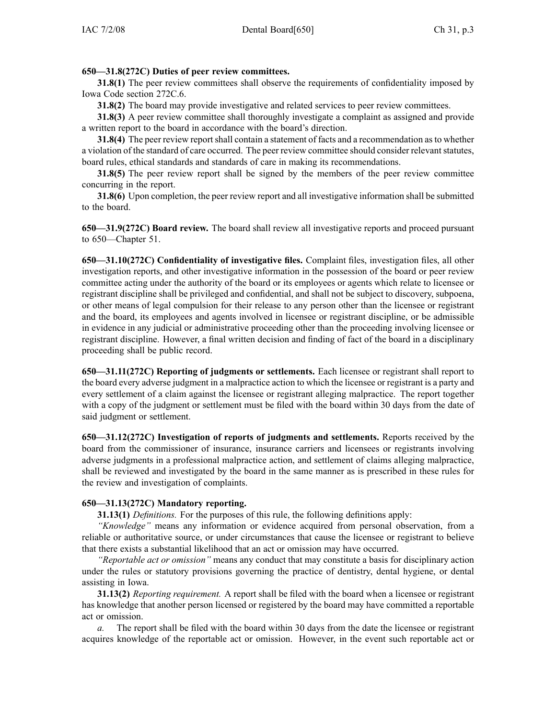## **650—31.8(272C) Duties of peer review committees.**

**31.8(1)** The peer review committees shall observe the requirements of confidentiality imposed by Iowa Code section 272C.6.

**31.8(2)** The board may provide investigative and related services to peer review committees.

**31.8(3)** A peer review committee shall thoroughly investigate <sup>a</sup> complaint as assigned and provide <sup>a</sup> written repor<sup>t</sup> to the board in accordance with the board's direction.

**31.8(4)** The peer review reportshall contain <sup>a</sup> statement of facts and <sup>a</sup> recommendation asto whether a violation of the standard of care occurred. The peer review committee should consider relevant statutes, board rules, ethical standards and standards of care in making its recommendations.

**31.8(5)** The peer review report shall be signed by the members of the peer review committee concurring in the report.

**31.8(6)** Upon completion, the peer review repor<sup>t</sup> and all investigative information shall be submitted to the board.

**650—31.9(272C) Board review.** The board shall review all investigative reports and proceed pursuan<sup>t</sup> to 650—Chapter 51.

**650—31.10(272C) Confidentiality of investigative files.** Complaint files, investigation files, all other investigation reports, and other investigative information in the possession of the board or peer review committee acting under the authority of the board or its employees or agents which relate to licensee or registrant discipline shall be privileged and confidential, and shall not be subject to discovery, subpoena, or other means of legal compulsion for their release to any person other than the licensee or registrant and the board, its employees and agents involved in licensee or registrant discipline, or be admissible in evidence in any judicial or administrative proceeding other than the proceeding involving licensee or registrant discipline. However, <sup>a</sup> final written decision and finding of fact of the board in <sup>a</sup> disciplinary proceeding shall be public record.

**650—31.11(272C) Reporting of judgments or settlements.** Each licensee or registrant shall repor<sup>t</sup> to the board every adverse judgment in <sup>a</sup> malpractice action to which the licensee or registrant is <sup>a</sup> party and every settlement of <sup>a</sup> claim against the licensee or registrant alleging malpractice. The repor<sup>t</sup> together with <sup>a</sup> copy of the judgment or settlement must be filed with the board within 30 days from the date of said judgment or settlement.

**650—31.12(272C) Investigation of reports of judgments and settlements.** Reports received by the board from the commissioner of insurance, insurance carriers and licensees or registrants involving adverse judgments in <sup>a</sup> professional malpractice action, and settlement of claims alleging malpractice, shall be reviewed and investigated by the board in the same manner as is prescribed in these rules for the review and investigation of complaints.

## **650—31.13(272C) Mandatory reporting.**

**31.13(1)** *Definitions.* For the purposes of this rule, the following definitions apply:

*"Knowledge"* means any information or evidence acquired from personal observation, from <sup>a</sup> reliable or authoritative source, or under circumstances that cause the licensee or registrant to believe that there exists <sup>a</sup> substantial likelihood that an act or omission may have occurred.

*"Reportable act or omission"* means any conduct that may constitute <sup>a</sup> basis for disciplinary action under the rules or statutory provisions governing the practice of dentistry, dental hygiene, or dental assisting in Iowa.

**31.13(2)** *Reporting requirement.* A repor<sup>t</sup> shall be filed with the board when <sup>a</sup> licensee or registrant has knowledge that another person licensed or registered by the board may have committed <sup>a</sup> reportable act or omission.

*a.* The repor<sup>t</sup> shall be filed with the board within 30 days from the date the licensee or registrant acquires knowledge of the reportable act or omission. However, in the event such reportable act or